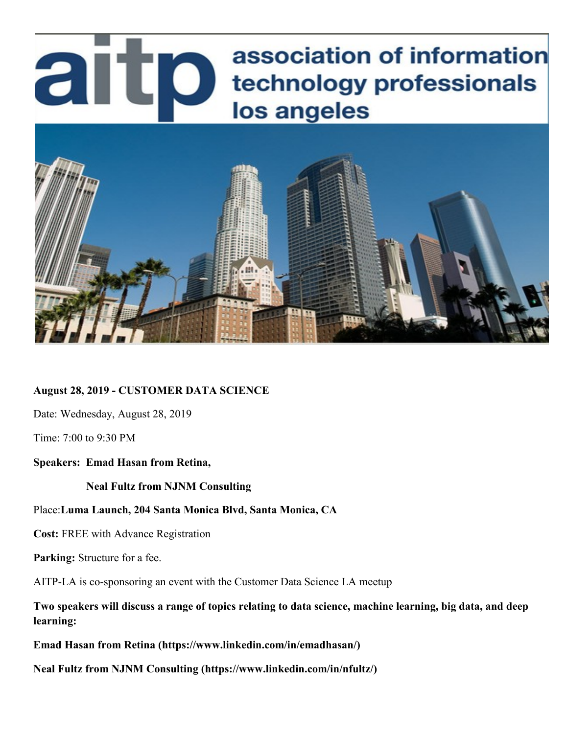# association of information artp technology professionals los angeles



**August 28, 2019 - CUSTOMER DATA SCIENCE**

Date: Wednesday, August 28, 2019

Time: 7:00 to 9:30 PM

#### **Speakers: Emad Hasan from Retina,**

 **Neal Fultz from NJNM Consulting** 

#### Place:**Luma Launch, 204 Santa Monica Blvd, Santa Monica, CA**

**Cost:** FREE with Advance Registration

**Parking:** Structure for a fee.

AITP-LA is co-sponsoring an event with the Customer Data Science LA meetup

**Two speakers will discuss a range of topics relating to data science, machine learning, big data, and deep learning:**

**Emad Hasan from Retina (https://www.linkedin.com/in/emadhasan/)**

**Neal Fultz from NJNM Consulting (https://www.linkedin.com/in/nfultz/)**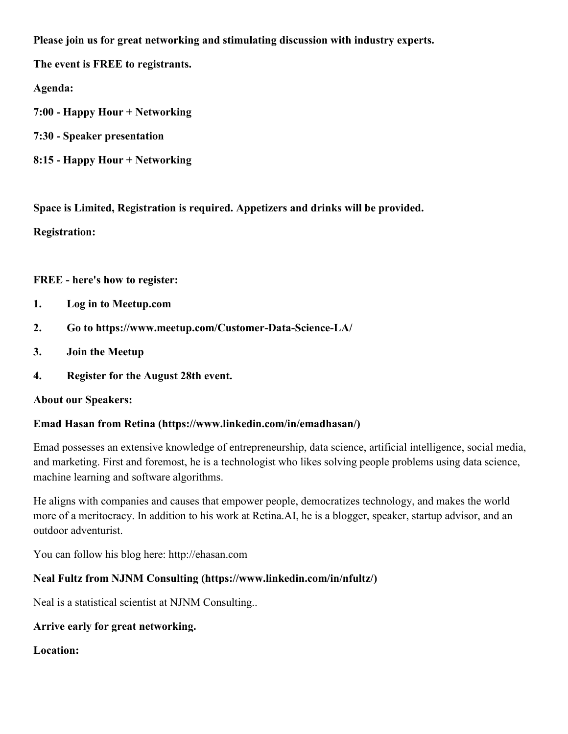**Please join us for great networking and stimulating discussion with industry experts.**

**The event is FREE to registrants.**

**Agenda:**

- **7:00 - Happy Hour + Networking**
- **7:30 - Speaker presentation**
- **8:15 - Happy Hour + Networking**

**Space is Limited, Registration is required. Appetizers and drinks will be provided.**

**Registration:**

**FREE - here's how to register:**

- **1. Log in to Meetup.com**
- **2. Go to https://www.meetup.com/Customer-Data-Science-LA/**
- **3. Join the Meetup**
- **4. Register for the August 28th event.**

#### **About our Speakers:**

# **Emad Hasan from Retina (https://www.linkedin.com/in/emadhasan/)**

Emad possesses an extensive knowledge of entrepreneurship, data science, artificial intelligence, social media, and marketing. First and foremost, he is a technologist who likes solving people problems using data science, machine learning and software algorithms.

He aligns with companies and causes that empower people, democratizes technology, and makes the world more of a meritocracy. In addition to his work at Retina.AI, he is a blogger, speaker, startup advisor, and an outdoor adventurist.

You can follow his blog here: http://ehasan.com

# **Neal Fultz from NJNM Consulting (https://www.linkedin.com/in/nfultz/)**

Neal is a statistical scientist at NJNM Consulting..

# **Arrive early for great networking.**

**Location:**